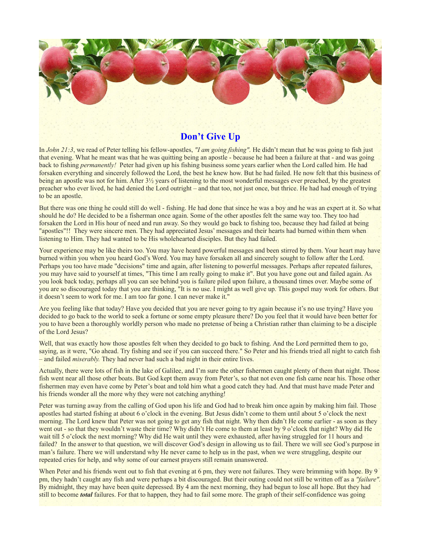

## **Don't Give Up**

In *John 21:3*, we read of Peter telling his fellow-apostles, *"I am going fishing".* He didn't mean that he was going to fish just that evening. What he meant was that he was quitting being an apostle - because he had been a failure at that - and was going back to fishing *permanently!* Peter had given up his fishing business some years earlier when the Lord called him. He had forsaken everything and sincerely followed the Lord, the best he knew how. But he had failed. He now felt that this business of being an apostle was not for him. After 3½ years of listening to the most wonderful messages ever preached, by the greatest preacher who ever lived, he had denied the Lord outright – and that too, not just once, but thrice. He had had enough of trying to be an apostle.

But there was one thing he could still do well - fishing. He had done that since he was a boy and he was an expert at it. So what should he do? He decided to be a fisherman once again. Some of the other apostles felt the same way too. They too had forsaken the Lord in His hour of need and run away. So they would go back to fishing too, because they had failed at being "apostles"!! They were sincere men. They had appreciated Jesus' messages and their hearts had burned within them when listening to Him. They had wanted to be His wholehearted disciples. But they had failed.

Your experience may be like theirs too. You may have heard powerful messages and been stirred by them. Your heart may have burned within you when you heard God's Word. You may have forsaken all and sincerely sought to follow after the Lord. Perhaps you too have made "decisions" time and again, after listening to powerful messages. Perhaps after repeated failures, you may have said to yourself at times, "This time I am really going to make it". But you have gone out and failed again. As you look back today, perhaps all you can see behind you is failure piled upon failure, a thousand times over. Maybe some of you are so discouraged today that you are thinking, "It is no use. I might as well give up. This gospel may work for others. But it doesn't seem to work for me. I am too far gone. I can never make it."

Are you feeling like that today? Have you decided that you are never going to try again because it's no use trying? Have you decided to go back to the world to seek a fortune or some empty pleasure there? Do you feel that it would have been better for you to have been a thoroughly worldly person who made no pretense of being a Christian rather than claiming to be a disciple of the Lord Jesus?

Well, that was exactly how those apostles felt when they decided to go back to fishing. And the Lord permitted them to go, saying, as it were, "Go ahead. Try fishing and see if you can succeed there." So Peter and his friends tried all night to catch fish – and failed *miserably.* They had never had such a bad night in their entire lives.

Actually, there were lots of fish in the lake of Galilee, and I'm sure the other fishermen caught plenty of them that night. Those fish went near all those other boats. But God kept them away from Peter's, so that not even one fish came near his. Those other fishermen may even have come by Peter's boat and told him what a good catch they had. And that must have made Peter and his friends wonder all the more why they were not catching anything!

Peter was turning away from the calling of God upon his life and God had to break him once again by making him fail. Those apostles had started fishing at about 6 o'clock in the evening. But Jesus didn't come to them until about 5 o'clock the next morning. The Lord knew that Peter was not going to get any fish that night. Why then didn't He come earlier - as soon as they went out - so that they wouldn't waste their time? Why didn't He come to them at least by 9 o'clock that night? Why did He wait till 5 o'clock the next morning? Why did He wait until they were exhausted, after having struggled for 11 hours and failed? In the answer to that question, we will discover God's design in allowing us to fail. There we will see God's purpose in man's failure. There we will understand why He never came to help us in the past, when we were struggling, despite our repeated cries for help, and why some of our earnest prayers still remain unanswered.

When Peter and his friends went out to fish that evening at 6 pm, they were not failures. They were brimming with hope. By 9 pm, they hadn't caught any fish and were perhaps a bit discouraged. But their outing could not still be written off as a *"failure".* By midnight, they may have been quite depressed. By 4 am the next morning, they had begun to lose all hope. But they had still to become *total* failures. For that to happen, they had to fail some more. The graph of their self-confidence was going